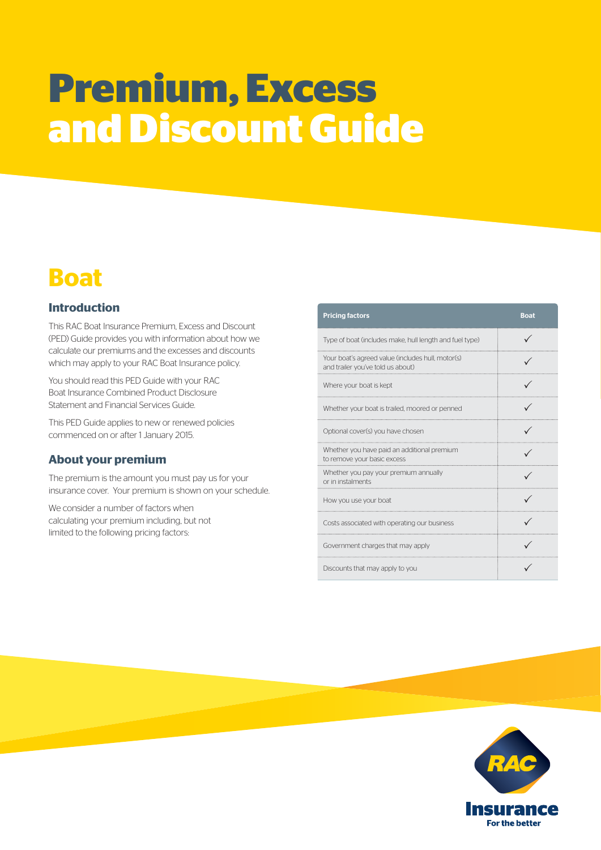# **Premium, Excess and Discount Guide**

# **Boat**

# **Introduction**

This RAC Boat Insurance Premium, Excess and Discount (PED) Guide provides you with information about how we calculate our premiums and the excesses and discounts which may apply to your RAC Boat Insurance policy.

You should read this PED Guide with your RAC Boat Insurance Combined Product Disclosure Statement and Financial Services Guide.

This PED Guide applies to new or renewed policies commenced on or after 1 January 2015.

# **About your premium**

The premium is the amount you must pay us for your insurance cover. Your premium is shown on your schedule.

We consider a number of factors when calculating your premium including, but not limited to the following pricing factors:

| <b>Pricing factors</b>                                                                 | <b>Boat</b> |
|----------------------------------------------------------------------------------------|-------------|
| Type of boat (includes make, hull length and fuel type)                                |             |
| Your boat's agreed value (includes hull, motor(s)<br>and trailer you've told us about) |             |
| Where your boat is kept                                                                |             |
| Whether your boat is trailed, moored or penned                                         |             |
| Optional cover(s) you have chosen                                                      |             |
| Whether you have paid an additional premium<br>to remove your basic excess             |             |
| Whether you pay your premium annually<br>or in instalments                             |             |
| How you use your boat                                                                  |             |
| Costs associated with operating our business                                           |             |
| Government charges that may apply                                                      |             |
| Discounts that may apply to you                                                        |             |

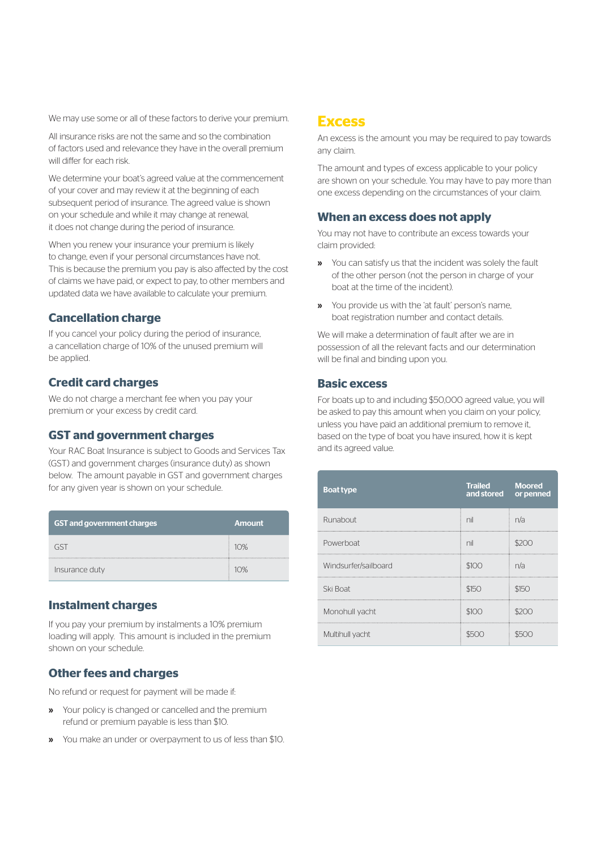We may use some or all of these factors to derive your premium.

All insurance risks are not the same and so the combination of factors used and relevance they have in the overall premium will differ for each risk.

We determine your boat's agreed value at the commencement of your cover and may review it at the beginning of each subsequent period of insurance. The agreed value is shown on your schedule and while it may change at renewal, it does not change during the period of insurance.

When you renew your insurance your premium is likely to change, even if your personal circumstances have not. This is because the premium you pay is also affected by the cost of claims we have paid, or expect to pay, to other members and updated data we have available to calculate your premium.

#### **Cancellation charge**

If you cancel your policy during the period of insurance, a cancellation charge of 10% of the unused premium will be applied.

#### **Credit card charges**

We do not charge a merchant fee when you pay your premium or your excess by credit card.

#### **GST and government charges**

Your RAC Boat Insurance is subject to Goods and Services Tax (GST) and government charges (insurance duty) as shown below. The amount payable in GST and government charges for any given year is shown on your schedule.

| <b>GST and government charges</b> | <b>Amount</b> |
|-----------------------------------|---------------|
|                                   | 10%           |
| Insurance duty                    | 10%           |

#### **Instalment charges**

If you pay your premium by instalments a 10% premium loading will apply. This amount is included in the premium shown on your schedule.

#### **Other fees and charges**

No refund or request for payment will be made if:

- » Your policy is changed or cancelled and the premium refund or premium payable is less than \$10.
- » You make an under or overpayment to us of less than \$10.

# **Excess**

An excess is the amount you may be required to pay towards any claim.

The amount and types of excess applicable to your policy are shown on your schedule. You may have to pay more than one excess depending on the circumstances of your claim.

#### **When an excess does not apply**

You may not have to contribute an excess towards your claim provided:

- » You can satisfy us that the incident was solely the fault of the other person (not the person in charge of your boat at the time of the incident).
- » You provide us with the 'at fault' person's name, boat registration number and contact details.

We will make a determination of fault after we are in possession of all the relevant facts and our determination will be final and binding upon you.

#### **Basic excess**

For boats up to and including \$50,000 agreed value, you will be asked to pay this amount when you claim on your policy, unless you have paid an additional premium to remove it, based on the type of boat you have insured, how it is kept and its agreed value.

| <b>Boat type</b>     | <b>Trailed</b><br>and stored | Moored<br>or penned |
|----------------------|------------------------------|---------------------|
| Runabout             | nil                          | n/a                 |
| Powerboat            | nil                          |                     |
| Windsurfer/sailboard | \$100                        | n/a                 |
| Ski Boat             | \$150                        | \$150               |
| Monohull yacht       | \$100                        | 11 N                |
| Multihull yacht      |                              |                     |